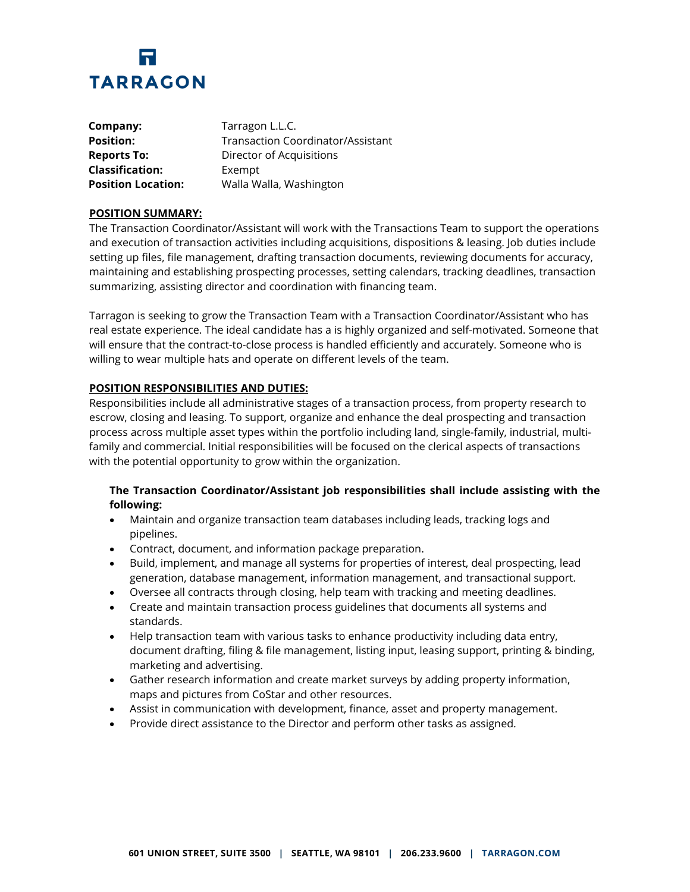

| Company:                  | Tarragon L.L.C.                   |
|---------------------------|-----------------------------------|
| <b>Position:</b>          | Transaction Coordinator/Assistant |
| <b>Reports To:</b>        | Director of Acquisitions          |
| <b>Classification:</b>    | Exempt                            |
| <b>Position Location:</b> | Walla Walla, Washington           |

## **POSITION SUMMARY:**

The Transaction Coordinator/Assistant will work with the Transactions Team to support the operations and execution of transaction activities including acquisitions, dispositions & leasing. Job duties include setting up files, file management, drafting transaction documents, reviewing documents for accuracy, maintaining and establishing prospecting processes, setting calendars, tracking deadlines, transaction summarizing, assisting director and coordination with financing team.

Tarragon is seeking to grow the Transaction Team with a Transaction Coordinator/Assistant who has real estate experience. The ideal candidate has a is highly organized and self-motivated. Someone that will ensure that the contract-to-close process is handled efficiently and accurately. Someone who is willing to wear multiple hats and operate on different levels of the team.

## **POSITION RESPONSIBILITIES AND DUTIES:**

Responsibilities include all administrative stages of a transaction process, from property research to escrow, closing and leasing. To support, organize and enhance the deal prospecting and transaction process across multiple asset types within the portfolio including land, single-family, industrial, multifamily and commercial. Initial responsibilities will be focused on the clerical aspects of transactions with the potential opportunity to grow within the organization.

## **The Transaction Coordinator/Assistant job responsibilities shall include assisting with the following:**

- Maintain and organize transaction team databases including leads, tracking logs and pipelines.
- Contract, document, and information package preparation.
- Build, implement, and manage all systems for properties of interest, deal prospecting, lead generation, database management, information management, and transactional support.
- Oversee all contracts through closing, help team with tracking and meeting deadlines.
- Create and maintain transaction process guidelines that documents all systems and standards.
- Help transaction team with various tasks to enhance productivity including data entry, document drafting, filing & file management, listing input, leasing support, printing & binding, marketing and advertising.
- Gather research information and create market surveys by adding property information, maps and pictures from CoStar and other resources.
- Assist in communication with development, finance, asset and property management.
- Provide direct assistance to the Director and perform other tasks as assigned.